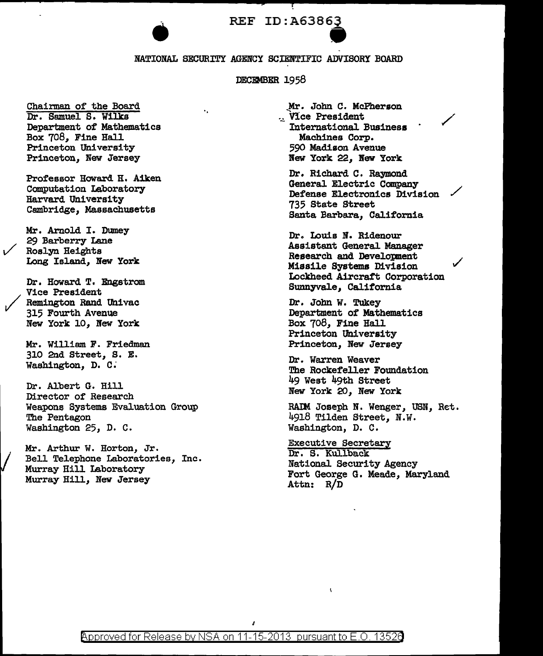## REF ID:A63863

REF ID: A63863<br>
MATIONAL SECURITY AGENCY SCIENTIFIC ADVISORY BOARD

DECEMBER 1958

Chairman of the Board Dr. Samuel S. Wilks Department of Mathematics Box 708, Fine Hall Princeton University Princeton, New Jersey

Professor Howard H. Aiken Computation Laboratory Harvard University Cambridge, Massachusetts

Mr. Arnold I. Dumey 29 Barberry Lane Roslyn Heights Long Island, New York

Dr. Howard T. Engstrom Vice President Remington Rand Univac 315 Fourth Avenue New York 10, New York

Mr. William F. Friedman 310 2nd Street, S. E. Washington, D. c:

Dr. A1bert G. Hill Director of Research Weapone Systems Evaluation Group The Pentagon Washington 25, D. c.

Mr. Arthur w. Horton, Jr. Bell Telephone Laboratories, Inc. Murray Hill Laboratory Murray Hill, New Jersey

Mr. John C. McPherson ·~ Vice President / International Business 590 Madison Avenue Bew York 22, Bew York

Dr. Richard C. Raymond General Electric Company Defense Electronics Division 735 State Street Santa Barbara, California

Dr. Louis N. Ridenour Assistant General Manager Research and Developnent Missile Systems Division Lockheed Aircratt Corporation Sunnyvale, California

 $\checkmark$ 

Dr. John *W.* Tukey Department of Mathematics Box 708, Fine Hall Princeton University Princeton, New Jersey

Dr. Warren Weaver The Rockefeller Foundation 49 West 49th Street New York 20, New York

RAIM Joseph N. Wenger, USN, Ret. 4918 Tilden Street, N.w. Washington, D. c.

Executive Secretary Dr. S. Kullback National Security Agency Fort George G. Meade, Maryland Attn: R/D

 $\overline{\mathbf{A}}$ 

J